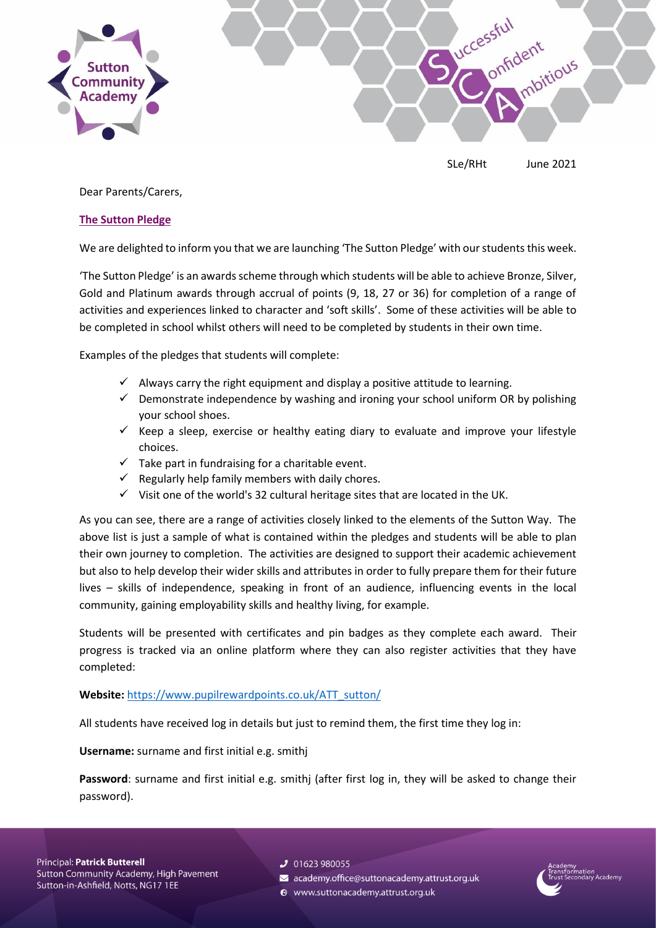

SLe/RHt June 2021

Dear Parents/Carers,

## **The Sutton Pledge**

We are delighted to inform you that we are launching 'The Sutton Pledge' with our students this week.

'The Sutton Pledge' is an awards scheme through which students will be able to achieve Bronze, Silver, Gold and Platinum awards through accrual of points (9, 18, 27 or 36) for completion of a range of activities and experiences linked to character and 'soft skills'. Some of these activities will be able to be completed in school whilst others will need to be completed by students in their own time.

Examples of the pledges that students will complete:

- $\checkmark$  Always carry the right equipment and display a positive attitude to learning.
- $\checkmark$  Demonstrate independence by washing and ironing your school uniform OR by polishing your school shoes.
- $\checkmark$  Keep a sleep, exercise or healthy eating diary to evaluate and improve your lifestyle choices.
- $\checkmark$  Take part in fundraising for a charitable event.
- $\checkmark$  Regularly help family members with daily chores.
- $\checkmark$  Visit one of the world's 32 cultural heritage sites that are located in the UK.

As you can see, there are a range of activities closely linked to the elements of the Sutton Way. The above list is just a sample of what is contained within the pledges and students will be able to plan their own journey to completion. The activities are designed to support their academic achievement but also to help develop their wider skills and attributes in order to fully prepare them for their future lives – skills of independence, speaking in front of an audience, influencing events in the local community, gaining employability skills and healthy living, for example.

Students will be presented with certificates and pin badges as they complete each award. Their progress is tracked via an online platform where they can also register activities that they have completed:

**Website:** [https://www.pupilrewardpoints.co.uk/ATT\\_sutton/](https://www.pupilrewardpoints.co.uk/ATT_sutton/)

All students have received log in details but just to remind them, the first time they log in:

**Username:** surname and first initial e.g. smithj

**Password**: surname and first initial e.g. smithj (after first log in, they will be asked to change their password).

- $J$  01623 980055
- academy.office@suttonacademy.attrust.org.uk
- Www.suttonacademy.attrust.org.uk